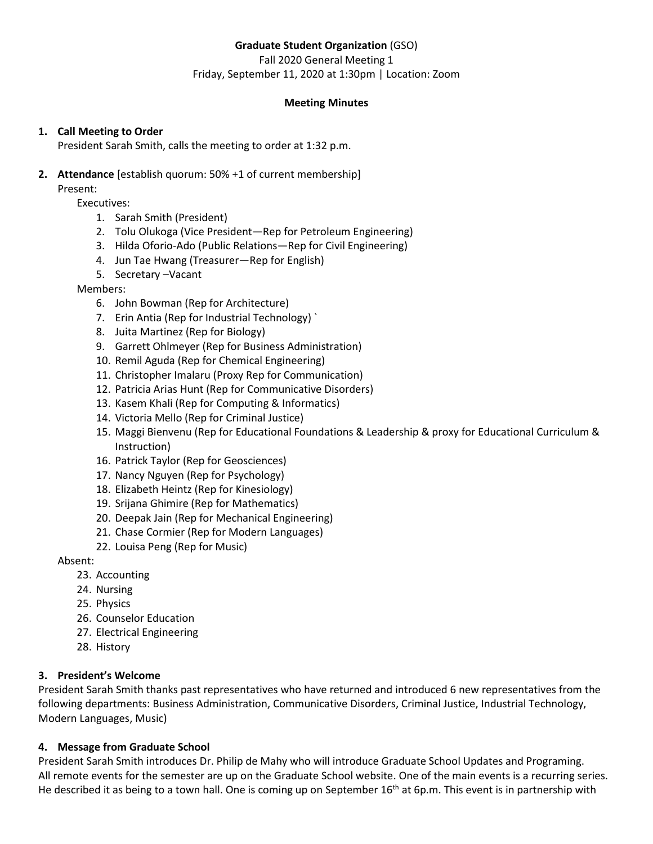# **Graduate Student Organization** (GSO)

Fall 2020 General Meeting 1 Friday, September 11, 2020 at 1:30pm | Location: Zoom

# **Meeting Minutes**

# **1. Call Meeting to Order**

President Sarah Smith, calls the meeting to order at 1:32 p.m.

# **2. Attendance** [establish quorum: 50% +1 of current membership]

Present:

Executives:

- 1. Sarah Smith (President)
- 2. Tolu Olukoga (Vice President—Rep for Petroleum Engineering)
- 3. Hilda Oforio-Ado (Public Relations—Rep for Civil Engineering)
- 4. Jun Tae Hwang (Treasurer—Rep for English)
- 5. Secretary –Vacant

Members:

- 6. John Bowman (Rep for Architecture)
- 7. Erin Antia (Rep for Industrial Technology) `
- 8. Juita Martinez (Rep for Biology)
- 9. Garrett Ohlmeyer (Rep for Business Administration)
- 10. Remil Aguda (Rep for Chemical Engineering)
- 11. Christopher Imalaru (Proxy Rep for Communication)
- 12. Patricia Arias Hunt (Rep for Communicative Disorders)
- 13. Kasem Khali (Rep for Computing & Informatics)
- 14. Victoria Mello (Rep for Criminal Justice)
- 15. Maggi Bienvenu (Rep for Educational Foundations & Leadership & proxy for Educational Curriculum & Instruction)
- 16. Patrick Taylor (Rep for Geosciences)
- 17. Nancy Nguyen (Rep for Psychology)
- 18. Elizabeth Heintz (Rep for Kinesiology)
- 19. Srijana Ghimire (Rep for Mathematics)
- 20. Deepak Jain (Rep for Mechanical Engineering)
- 21. Chase Cormier (Rep for Modern Languages)
- 22. Louisa Peng (Rep for Music)

Absent:

- 23. Accounting
- 24. Nursing
- 25. Physics
- 26. Counselor Education
- 27. Electrical Engineering
- 28. History

# **3. President's Welcome**

President Sarah Smith thanks past representatives who have returned and introduced 6 new representatives from the following departments: Business Administration, Communicative Disorders, Criminal Justice, Industrial Technology, Modern Languages, Music)

# **4. Message from Graduate School**

President Sarah Smith introduces Dr. Philip de Mahy who will introduce Graduate School Updates and Programing. All remote events for the semester are up on the Graduate School website. One of the main events is a recurring series. He described it as being to a town hall. One is coming up on September 16<sup>th</sup> at 6p.m. This event is in partnership with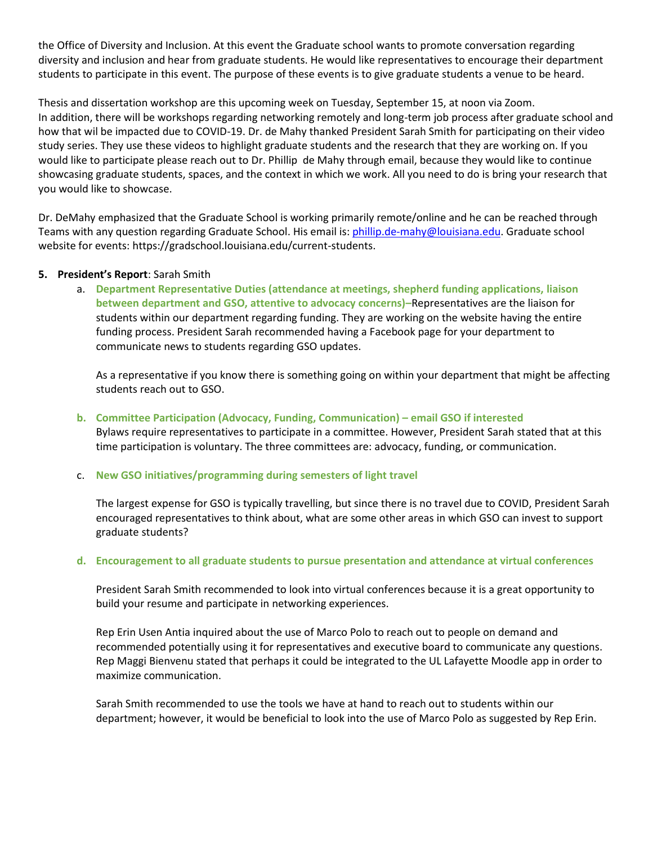the Office of Diversity and Inclusion. At this event the Graduate school wants to promote conversation regarding diversity and inclusion and hear from graduate students. He would like representatives to encourage their department students to participate in this event. The purpose of these events is to give graduate students a venue to be heard.

Thesis and dissertation workshop are this upcoming week on Tuesday, September 15, at noon via Zoom. In addition, there will be workshops regarding networking remotely and long-term job process after graduate school and how that wil be impacted due to COVID-19. Dr. de Mahy thanked President Sarah Smith for participating on their video study series. They use these videos to highlight graduate students and the research that they are working on. If you would like to participate please reach out to Dr. Phillip de Mahy through email, because they would like to continue showcasing graduate students, spaces, and the context in which we work. All you need to do is bring your research that you would like to showcase.

Dr. DeMahy emphasized that the Graduate School is working primarily remote/online and he can be reached through Teams with any question regarding Graduate School. His email is[: phillip.de-mahy@louisiana.edu.](mailto:phillip.de-mahy@louisiana.edu) Graduate school website for events: https://gradschool.louisiana.edu/current-students.

#### **5. President's Report**: Sarah Smith

a. **Department Representative Duties (attendance at meetings, shepherd funding applications, liaison between department and GSO, attentive to advocacy concerns)–**Representatives are the liaison for students within our department regarding funding. They are working on the website having the entire funding process. President Sarah recommended having a Facebook page for your department to communicate news to students regarding GSO updates.

As a representative if you know there is something going on within your department that might be affecting students reach out to GSO.

# **b. Committee Participation (Advocacy, Funding, Communication) – email GSO if interested**

Bylaws require representatives to participate in a committee. However, President Sarah stated that at this time participation is voluntary. The three committees are: advocacy, funding, or communication.

#### c. **New GSO initiatives/programming during semesters of light travel**

The largest expense for GSO is typically travelling, but since there is no travel due to COVID, President Sarah encouraged representatives to think about, what are some other areas in which GSO can invest to support graduate students?

#### **d. Encouragement to all graduate students to pursue presentation and attendance at virtual conferences**

President Sarah Smith recommended to look into virtual conferences because it is a great opportunity to build your resume and participate in networking experiences.

Rep Erin Usen Antia inquired about the use of Marco Polo to reach out to people on demand and recommended potentially using it for representatives and executive board to communicate any questions. Rep Maggi Bienvenu stated that perhaps it could be integrated to the UL Lafayette Moodle app in order to maximize communication.

Sarah Smith recommended to use the tools we have at hand to reach out to students within our department; however, it would be beneficial to look into the use of Marco Polo as suggested by Rep Erin.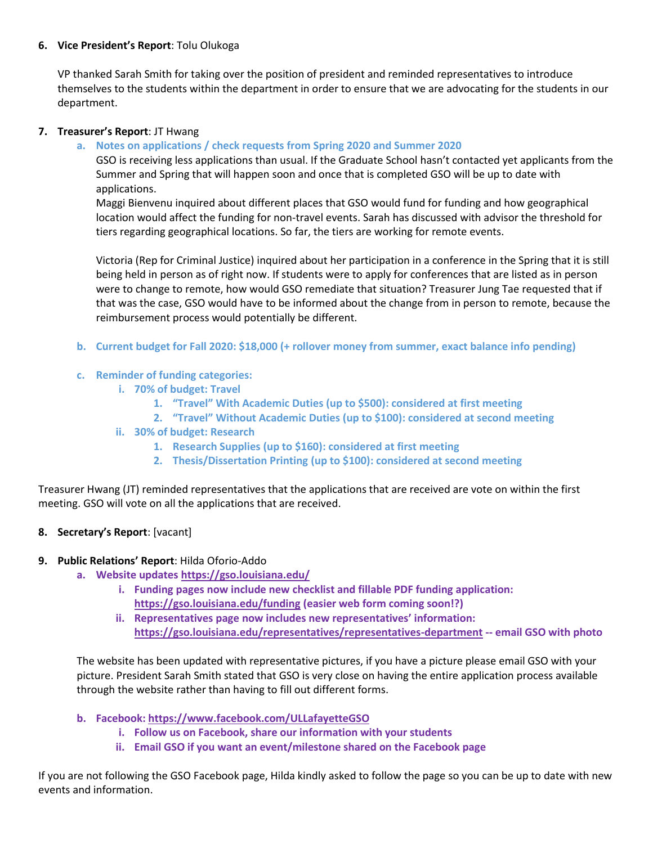### **6. Vice President's Report**: Tolu Olukoga

VP thanked Sarah Smith for taking over the position of president and reminded representatives to introduce themselves to the students within the department in order to ensure that we are advocating for the students in our department.

#### **7. Treasurer's Report**: JT Hwang

### **a. Notes on applications / check requests from Spring 2020 and Summer 2020**

GSO is receiving less applications than usual. If the Graduate School hasn't contacted yet applicants from the Summer and Spring that will happen soon and once that is completed GSO will be up to date with applications.

Maggi Bienvenu inquired about different places that GSO would fund for funding and how geographical location would affect the funding for non-travel events. Sarah has discussed with advisor the threshold for tiers regarding geographical locations. So far, the tiers are working for remote events.

Victoria (Rep for Criminal Justice) inquired about her participation in a conference in the Spring that it is still being held in person as of right now. If students were to apply for conferences that are listed as in person were to change to remote, how would GSO remediate that situation? Treasurer Jung Tae requested that if that was the case, GSO would have to be informed about the change from in person to remote, because the reimbursement process would potentially be different.

**b. Current budget for Fall 2020: \$18,000 (+ rollover money from summer, exact balance info pending)**

### **c. Reminder of funding categories:**

- **i. 70% of budget: Travel**
	- **1. "Travel" With Academic Duties (up to \$500): considered at first meeting**
	- **2. "Travel" Without Academic Duties (up to \$100): considered at second meeting**
- **ii. 30% of budget: Research**
	- **1. Research Supplies (up to \$160): considered at first meeting**
	- **2. Thesis/Dissertation Printing (up to \$100): considered at second meeting**

Treasurer Hwang (JT) reminded representatives that the applications that are received are vote on within the first meeting. GSO will vote on all the applications that are received.

#### **8. Secretary's Report**: [vacant]

#### **9. Public Relations' Report**: Hilda Oforio-Addo

- **a. Website update[s https://gso.louisiana.edu/](https://gso.louisiana.edu/)**
	- **i. Funding pages now include new checklist and fillable PDF funding application: <https://gso.louisiana.edu/funding> (easier web form coming soon!?)**
	- **ii. Representatives page now includes new representatives' information: <https://gso.louisiana.edu/representatives/representatives-department> -- email GSO with photo**

The website has been updated with representative pictures, if you have a picture please email GSO with your picture. President Sarah Smith stated that GSO is very close on having the entire application process available through the website rather than having to fill out different forms.

- **b. Facebook:<https://www.facebook.com/ULLafayetteGSO>**
	- **i. Follow us on Facebook, share our information with your students**
	- **ii. Email GSO if you want an event/milestone shared on the Facebook page**

If you are not following the GSO Facebook page, Hilda kindly asked to follow the page so you can be up to date with new events and information.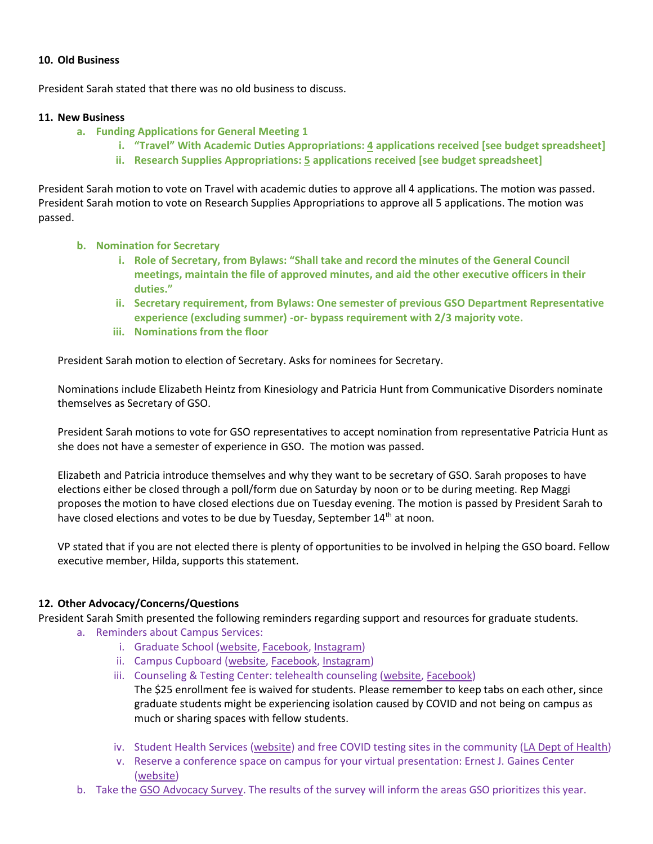#### **10. Old Business**

President Sarah stated that there was no old business to discuss.

#### **11. New Business**

- **a. Funding Applications for General Meeting 1**
	- **i. "Travel" With Academic Duties Appropriations: 4 applications received [see budget spreadsheet]**
	- **ii. Research Supplies Appropriations: 5 applications received [see budget spreadsheet]**

President Sarah motion to vote on Travel with academic duties to approve all 4 applications. The motion was passed. President Sarah motion to vote on Research Supplies Appropriations to approve all 5 applications. The motion was passed.

- **b. Nomination for Secretary**
	- **i. Role of Secretary, from Bylaws: "Shall take and record the minutes of the General Council meetings, maintain the file of approved minutes, and aid the other executive officers in their duties."**
	- **ii. Secretary requirement, from Bylaws: One semester of previous GSO Department Representative experience (excluding summer) -or- bypass requirement with 2/3 majority vote.**
	- **iii. Nominations from the floor**

President Sarah motion to election of Secretary. Asks for nominees for Secretary.

Nominations include Elizabeth Heintz from Kinesiology and Patricia Hunt from Communicative Disorders nominate themselves as Secretary of GSO.

President Sarah motions to vote for GSO representatives to accept nomination from representative Patricia Hunt as she does not have a semester of experience in GSO. The motion was passed.

Elizabeth and Patricia introduce themselves and why they want to be secretary of GSO. Sarah proposes to have elections either be closed through a poll/form due on Saturday by noon or to be during meeting. Rep Maggi proposes the motion to have closed elections due on Tuesday evening. The motion is passed by President Sarah to have closed elections and votes to be due by Tuesday, September 14<sup>th</sup> at noon.

VP stated that if you are not elected there is plenty of opportunities to be involved in helping the GSO board. Fellow executive member, Hilda, supports this statement.

# **12. Other Advocacy/Concerns/Questions**

President Sarah Smith presented the following reminders regarding support and resources for graduate students.

- a. Reminders about Campus Services:
	- i. Graduate School [\(website,](https://gradschool.louisiana.edu/) [Facebook,](https://www.facebook.com/ULLafayetteGraduateSchool) [Instagram\)](https://www.instagram.com/ulgradschool/?hl=en)
	- ii. Campus Cupboard [\(website,](https://studentaffairs.louisiana.edu/services/campus-cupboard) [Facebook,](https://www.facebook.com/Campus-Cupboard-UL-Lafayette-731338723918659) [Instagram\)](https://www.instagram.com/ul_campuscupboard/)
	- iii. Counseling & Testing Center: telehealth counseling [\(website,](https://counselingandtesting.louisiana.edu/covid19-response) [Facebook\)](https://www.facebook.com/ULLCCPD/) The \$25 enrollment fee is waived for students. Please remember to keep tabs on each other, since graduate students might be experiencing isolation caused by COVID and not being on campus as much or sharing spaces with fellow students.
	- iv. Student Health Services [\(website\)](https://studenthealth.louisiana.edu/) and free COVID testing sites in the community [\(LA Dept of Health\)](https://ldh.la.gov/index.cfm/page/3934#:~:text=The%20Louisiana%20Department%20of%20Health,providers%2C%20clinics%20and%20in%20hospitals.)
	- v. Reserve a conference space on campus for your virtual presentation: Ernest J. Gaines Center [\(website\)](https://ernestgaines.louisiana.edu/center/contact-us/conference-room-reservation?fbclid=IwAR3TyzcJ5ZbI1wgA509CKqMRHSS1xfTjftjqnNJpvgBGM95oO9REg9fP0xo)
- b. Take the [GSO Advocacy Survey.](https://forms.gle/sc4qsd4Xt3EybXfF6) The results of the survey will inform the areas GSO prioritizes this year.